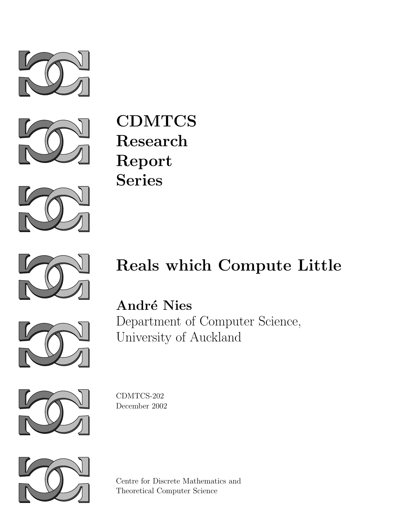



**CDMTCS Research Report Series**





# **Reals which Compute Little**



**Andr´e Nies** Department of Computer Science, University of Auckland



CDMTCS-202 December 2002



Centre for Discrete Mathematics and Theoretical Computer Science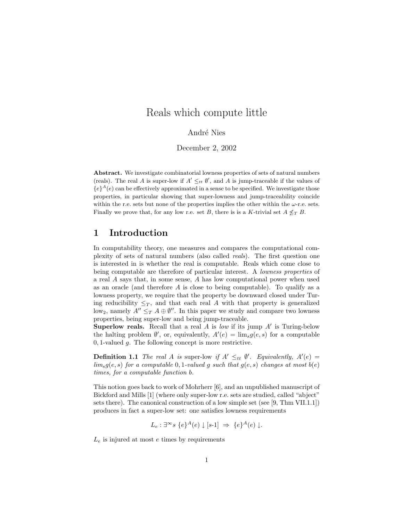## Reals which compute little

André Nies

December 2, 2002

**Abstract.** We investigate combinatorial lowness properties of sets of natural numbers (reals). The real A is super-low if  $A' \leq_{tt} \emptyset'$ , and A is jump-traceable if the values of  ${e}^{\lambda}(e)$  can be effectively approximated in a sense to be specified. We investigate those properties, in particular showing that super-lowness and jump-traceability coincide within the r.e. sets but none of the properties implies the other within the  $\omega$ -r.e. sets. Finally we prove that, for any low r.e. set B, there is is a K-trivial set  $A \nleq_T B$ .

## **1 Introduction**

In computability theory, one measures and compares the computational complexity of sets of natural numbers (also called *reals*). The first question one is interested in is whether the real is computable. Reals which come close to being computable are therefore of particular interest. A *lowness properties* of a real *A* says that, in some sense, *A* has low computational power when used as an oracle (and therefore *A* is close to being computable). To qualify as a lowness property, we require that the property be downward closed under Turing reducibility  $\leq_T$ , and that each real *A* with that property is generalized low<sub>2</sub>, namely  $A'' \leq T A \oplus \emptyset''$ . In this paper we study and compare two lowness properties, being super-low and being jump-traceable.

**Superlow reals.** Recall that a real *<sup>A</sup>* is *low* if its jump *<sup>A</sup>* is Turing-below the halting problem  $\emptyset'$ , or, equivalently,  $A'(e) = \lim_s g(e, s)$  for a computable 0.1-valued a. The following concept is more restrictive. <sup>0</sup>*,* 1-valued *g*. The following concept is more restrictive.

**Definition 1.1** *The real A is* super-low *if*  $A' \leq_{tt} \emptyset'$ *. Equivalently,*  $A'(e) = \lim_{h \to 0} a(e, e)$  for a computable 0.1-valued a such that  $a(e, e)$  changes at most b(e) *lim<sub>s</sub>* $g(e, s)$  *for a computable* 0*,* 1*-valued g such that*  $g(e, s)$  *changes at most*  $b(e)$ *times, for a computable function b.*

This notion goes back to work of Mohrherr [6], and an unpublished manuscript of Bickford and Mills [1] (where only super-low r.e. sets are studied, called "abject" sets there). The canonical construction of a low simple set (see [9, Thm VII.1.1]) produces in fact a super-low set: one satisfies lowness requirements

$$
L_e: \exists^{\infty} s \{e\}^A(e) \downarrow [s \text{-} 1] \Rightarrow \{e\}^A(e) \downarrow.
$$

*<sup>L</sup><sup>e</sup>* is injured at most *<sup>e</sup>* times by requirements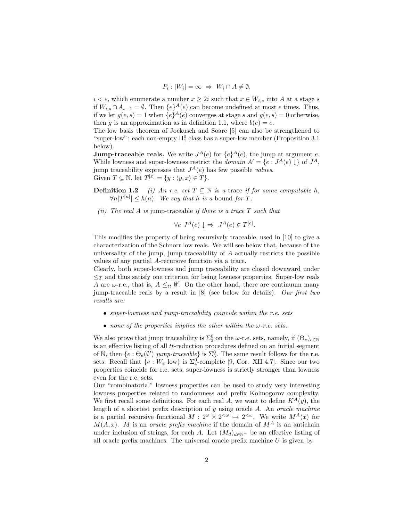$$
P_i: |W_i| = \infty \Rightarrow W_i \cap A \neq \emptyset,
$$

 $i < e$ , which enumerate a number  $x \geq 2i$  such that  $x \in W_{i,s}$  into A at a stage *s* if  $W_{i,s} \cap A_{s-1} = ∅$ . Then  ${e}^A(e)$  can become undefined at most *e* times. Thus, if we let  $g(e, s) = 1$  when  $\{e\}^{A}(e)$  converges at stage *s* and  $g(e, s) = 0$  otherwise, then *g* is an approximation as in definition 1.1, where  $b(e) = e$ .

The low basis theorem of Jockusch and Soare [5] can also be strengthened to "super-low": each non-empty  $\Pi^0_1$  class has a super-low member (Proposition 3.1 below).

**Jump-traceable reals.** We write  $J^A(e)$  for  $\{e\}^A(e)$ , the jump at argument *e*. While lowness and super-lowness restrict the *domain*  $A' = \{e : J^A(e) \downarrow\}$  of  $J^A$ , jump traceability expresses that  $J^A(e)$  has few possible *values*. Given  $T \subseteq \mathbb{N}$ , let  $T^{[x]} = \{y : \langle y, x \rangle \in T\}.$ 

**Definition 1.2** *(i)* An r.e. set  $T \subseteq \mathbb{N}$  *is a* trace *if for some computable h*,  $\forall n |T^{[n]}| \leq h(n)$ . We say that  $h$  *is a* bound for *T*.

*(ii) The real A is* jump-traceable *if there is a trace T such that*

 $\forall e \; J^A(e) \downarrow \Rightarrow J^A(e) \in T^{[e]}.$ 

This modifies the property of being recursively traceable, used in [10] to give a characterization of the Schnorr low reals. We will see below that, because of the universality of the jump, jump traceability of *A* actually restricts the possible values of any partial *A*-recursive function via a trace.

Clearly, both super-lowness and jump traceability are closed downward under  $\leq_T$  and thus satisfy one criterion for being lowness properties. Super-low reals *A* are *ω*-r.e., that is,  $A \leq_{tt} \emptyset'$ . On the other hand, there are continuum many immetric costs by a result in [8] (see below for details). Our first two jump-traceable reals by a result in [8] (see below for details). *Our first two results are:*

- *super-lowness and jump-traceability coincide within the r.e. sets*
- *none of the properties implies the other within the ω-r.e. sets.*

We also prove that jump traceability is  $\Sigma_3^0$  on the *ω*-r.e. sets, namely, if  $(\Theta_e)_{e \in \mathbb{N}}$ <br>is an effective listing of all *tt*-reduction procedures defined on an initial segment is an effective listing of all *tt*-reduction procedures defined on an initial segment of N, then  $\{e : \Theta_e(\emptyset')\> jump\>traceable\}$  is  $\Sigma_3^0$ . The same result follows for the r.e.<br>sets. Becall that  $\{e : W_{\alpha}\}$  is  $\Sigma_3^0$ -complete  $[0, \text{Cor } XII \, 4.7]$ . Since our two sets. Recall that  ${e : W_e \text{ low}}$  is  $\Sigma_4^0$ -complete [9, Cor. XII 4.7]. Since our two<br>properties coincide for r.e. sets, super-lowness is strictly stronger than lowness properties coincide for r.e. sets, super-lowness is strictly stronger than lowness even for the r.e. sets.

Our "combinatorial" lowness properties can be used to study very interesting lowness properties related to randomness and prefix Kolmogorov complexity. We first recall some definitions. For each real *A*, we want to define  $K^A(y)$ , the length of a shortest prefix description of *y* using oracle *A*. An *oracle machine* is a partial recursive functional  $M: 2^{\omega} \times 2^{<\omega} \mapsto 2^{<\omega}$ . We write  $M^A(x)$  for  $M(A, x)$ . *M* is an *oracle prefix machine* if the domain of  $M<sup>A</sup>$  is an antichain under inclusion of strings, for each *A*. Let  $(M_d)_{d \in \mathbb{N}^+}$  be an effective listing of all oracle prefix machines. The universal oracle prefix machine *U* is given by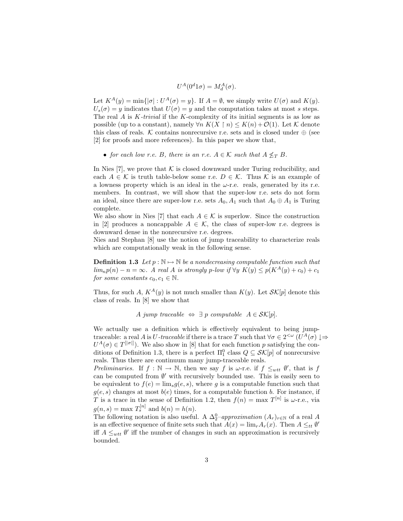$U^A(0^d 1\sigma) = M_d^A(\sigma).$ 

Let  $K^A(y) = \min\{|\sigma| : U^A(\sigma) = y\}$ . If  $A = \emptyset$ , we simply write  $U(\sigma)$  and  $K(y)$ .  $U_s(\sigma) = y$  indicates that  $U(\sigma) = y$  and the computation takes at most *s* steps. The real *A* is *K-trivial* if the *K*-complexity of its initial segments is as low as possible (up to a constant), namely  $\forall n K(X \mid n) \leq K(n) + O(1)$ . Let K denote this class of reals. K contains nonrecursive r.e. sets and is closed under  $\oplus$  (see [2] for proofs and more references). In this paper we show that,

• *for each low r.e. B, there is an r.e.*  $A \in \mathcal{K}$  *such that*  $A \nleq_T B$ *.* 

In Nies [7], we prove that  $K$  is closed downward under Turing reducibility, and each  $A \in \mathcal{K}$  is truth table-below some r.e.  $D \in \mathcal{K}$ . Thus  $\mathcal{K}$  is an example of a lowness property which is an ideal in the  $\omega$ -r.e. reals, generated by its r.e. members. In contrast, we will show that the super-low r.e. sets do not form an ideal, since there are super-low r.e. sets  $A_0$ ,  $A_1$  such that  $A_0 \oplus A_1$  is Turing complete.

We also show in Nies [7] that each  $A \in \mathcal{K}$  is superlow. Since the construction in [2] produces a noncappable  $A \in \mathcal{K}$ , the class of super-low r.e. degrees is downward dense in the nonrecursive r.e. degrees.

Nies and Stephan [8] use the notion of jump traceability to characterize reals which are computationally weak in the following sense.

**Definition 1.3** *Let*  $p : \mathbb{N} \to \mathbb{N}$  *be a nondecreasing computable function such that lim<sub>n</sub>* $p(n) - n = ∞$ *. A real A is strongly*  $p$ *-low if*  $\forall y K(y) \leq p(K^A(y) + c_0) + c_1$ *for some constants*  $c_0, c_1 \in \mathbb{N}$ *.* 

Thus, for such *A*,  $K^A(y)$  is not much smaller than  $K(y)$ . Let  $\mathcal{SK}[p]$  denote this class of reals. In [8] we show that

*A jump traceable*  $\Leftrightarrow \exists p$  *computable*  $A \in \mathcal{SK}[p].$ 

We actually use a definition which is effectively equivalent to being jumptraceable: a real *A* is *U-traceable* if there is a trace *T* such that  $\forall \sigma \in 2^{< \omega}$  ( $U^A(\sigma) \downarrow \Rightarrow$  $U^A(\sigma) \in T^{[|\sigma|]}$ . We also show in [8] that for each function *p* satisfying the con-<br>ditions of Definition 1.3, there is a perfect  $\Pi^0$  class  $O \subseteq S\mathcal{K}[n]$  of nonrecursive ditions of Definition 1.3, there is a perfect  $\Pi_1^0$  class  $Q \subseteq \mathcal{SK}[p]$  of nonrecursive reals. Thus there are continuum many jum-traceable reals. reals. Thus there are continuum many jump-traceable reals.

*Preliminaries.* If  $f : \mathbb{N} \to \mathbb{N}$ , then we say *f* is  $\omega$ -r.e. if  $f \leq_{wtt} \emptyset'$ , that is *f* can be computed from  $\emptyset'$  with recursively bounded use. This is easily seen to can be computed from  $\emptyset'$  with recursively bounded use. This is easily seen to be equivalent to  $f(e) = \lim_{s} g(e, s)$ , where g is a computable function such that  $g(e, s)$  changes at most  $b(e)$  times, for a computable function *b*. For instance, if *T* is a trace in the sense of Definition 1.2, then  $f(n) = \max T^{[n]}$  is  $\omega$ -r.e., via  $g(n, s) = \max T_s^{[n]}$  and  $b(n) = h(n)$ .

The following notation is also useful. A  $\Delta_2^0$ –*approximation*  $(A_r)_{r \in \mathbb{N}}$  of a real *A*<br>is an effective sequence of finite sets such that  $A(r) = \lim_{r \to \infty} A(r)$ . Then  $A \leq \omega M$ is an effective sequence of finite sets such that  $A(x) = \lim_{r} A_r(x)$ . Then  $A \leq_{tt} \emptyset'$ iff  $A \leq_{wtt} \emptyset'$  iff the number of changes in such an approximation is recursively bounded.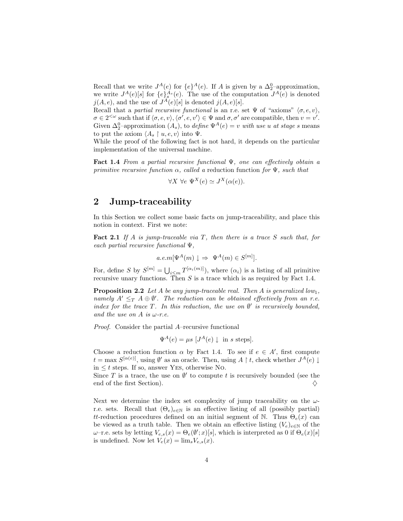Recall that we write  $J^A(e)$  for  $\{e\}^A(e)$ . If *A* is given by a  $\Delta_2^0$ -approximation,<br>we write  $I^A(e)$  of  $\{e\}^A(s)$ . The use of the computation  $I^A(e)$  is denoted we write  $J^A(e)[s]$  for  $\{e\}^{A_s}_{A}(e)$ . The use of the computation  $J^A(e)$  is denoted  $i(A,e)$  and the use of  $I^A(e)[s]$  is denoted  $i(A,e)[s]$  $j(A, e)$ , and the use of  $J^A(e)[s]$  is denoted  $j(A, e)[s]$ .

Recall that a *partial recursive functional* is an r.e. set  $\Psi$  of "axioms"  $\langle \sigma, e, v \rangle$ ,  $\sigma \in 2^{&\omega}$  such that if  $\langle \sigma, e, v \rangle$ ,  $\langle \sigma^i, e, v' \rangle \in \Psi$  and  $\sigma, \sigma^i$  are compatible, then  $v = v'$ .<br>Given  $\Lambda^0$ -approximation (A) to define  $\Psi^A(e) = v$  with use *u* at stage s means Given  $\Delta_2^0$ -approximation  $(A_s)$ , to *define*  $\Psi^A(e) = v$  *with use u at stage s* means to put the axiom  $\langle A_s \mid u, e, v \rangle$  into  $\Psi$ .

While the proof of the following fact is not hard, it depends on the particular implementation of the universal machine.

**Fact 1.4** *From a partial recursive functional* Ψ*, one can effectively obtain a primitive recursive function α, called a* reduction function *for* <sup>Ψ</sup>*, such that*

$$
\forall X \ \forall e \ \Psi^X(e) \simeq J^X(\alpha(e)).
$$

## **2 Jump-traceability**

In this Section we collect some basic facts on jump-traceability, and place this notion in context. First we note:

**Fact 2.1** *If A is jump-traceable via T, then there is a trace S such that, for each partial recursive functional* Ψ*,*

$$
a.e.m[\Psi^A(m) \downarrow \Rightarrow \Psi^A(m) \in S^{[m]}].
$$

For, define *S* by  $S^{[m]} = \bigcup_{i \leq m} T^{[\alpha_i(m)]}$ , where  $(\alpha_i)$  is a listing of all primitive recursive upary functions. Then *S* is a trace which is as required by Fact 1.4 recursive unary functions. Then *S* is a trace which is as required by Fact 1.4.

**Proposition 2.2** *Let <sup>A</sup> be any jump-traceable real. Then <sup>A</sup> is generalized low*1*, namely*  $A' \leq_T A \oplus \emptyset'$ . The reduction can be obtained effectively from an r.e.<br>index for the trace  $T$ . In this reduction, the use on  $\emptyset'$  is recursively bounded *index for the trace <sup>T</sup>. In this reduction, the use on* <sup>∅</sup> *is recursively bounded, and the use on A is*  $\omega$ -r.e.

*Proof.* Consider the partial *A*–recursive functional

$$
\Psi^{A}(e) = \mu s \, [J^{A}(e) \downarrow \text{ in } s \text{ steps}].
$$

Choose a reduction function *α* by Fact 1.4. To see if  $e \in A'$ , first compute  $t = \max_{\alpha} S^{\alpha(e)}$  using  $\emptyset'$  as an oracle. Then using  $A \upharpoonright t$  check whether  $I^A(e)$  $t = \max S^{[\alpha(e)]}$ , using  $\emptyset'$  as an oracle. Then, using  $A \restriction t$ , check whether  $J^A(e) \downarrow$ in  $\leq t$  steps. If so, answer YES, otherwise No.

Since *T* is a trace, the use on  $\emptyset'$  to compute *t* is recursively bounded (see the end of the first Section). end of the first Section).

Next we determine the index set complexity of jump traceability on the *ω*r.e. sets. Recall that  $(\Theta_e)_{e \in \mathbb{N}}$  is an effective listing of all (possibly partial) *tt*-reduction procedures defined on an initial segment of N. Thus  $\Theta_e(x)$  can be viewed as a truth table. Then we obtain an effective listing  $(V_e)_{e \in \mathbb{N}}$  of the *ω*–r.e. sets by letting  $V_{e,s}(x) = \Theta_e(\emptyset'; x)[s]$ , which is interpreted as 0 if  $\Theta_e(x)[s]$ <br>is undefined. Now let  $V(x) = \lim_{x \to a} V(x)$ is undefined. Now let  $V_e(x) = \lim_s V_{e,s}(x)$ .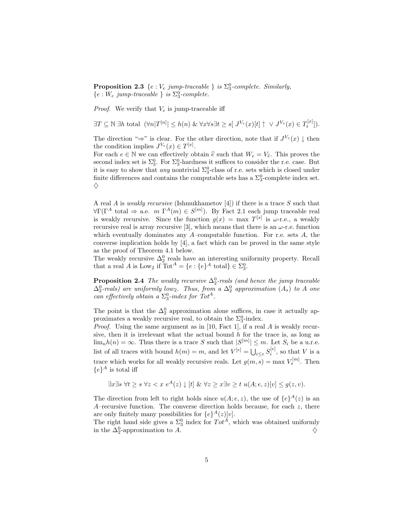**Proposition 2.3**  $\{e : V_e \text{ jump-traceable }\}$  *is*  $\Sigma_3^0$ -complete. Similarly,  ${e : W_e \text{ jump-traceable } } is \Sigma_3^0$ -complete.

*Proof.* We verify that  $V_e$  is jump-traceable iff

$$
\exists T \subseteq \mathbb{N} \; \exists h \; \text{total} \; \left(\forall n |T^{[n]}| \leq h(n) \; \& \; \forall x \forall s \exists t \geq s \, \big| \; J^{V_e}(x)[t] \uparrow \; \vee \; J^{V_e}(x) \in T_t^{[x]} \big] \right).
$$

The direction " $\Rightarrow$ " is clear. For the other direction, note that if  $J^{V_e}(x) \downarrow$  then the condition implies  $J^{V_e}(x) \in T^{[x]}$ .<br>For each  $e \in \mathbb{N}$  we can effectively ob

For each  $e \in \mathbb{N}$  we can effectively obtain  $\hat{e}$  such that  $W_e = V_{\hat{e}}$ . This proves the second index set is  $\Sigma^0$ . For  $\Sigma^0$ -hardness it suffices to consider the r.e. case. But second index set is  $\Sigma_3^0$ . For  $\Sigma_3^0$ -hardness it suffices to consider the r.e. case. But it is easy to show that *any* nontrivial  $\Sigma_3^0$ -class of r.e. sets which is closed under finite differences and contains the computable sets has a  $\Sigma_3^0$ -complete index set.  $\diamond$ 

A real *A* is *weakly recursive* (Ishmukhametov [4]) if there is a trace *S* such that  $\forall \Gamma(\Gamma^A \text{ total } \Rightarrow \text{ a.e. } m \Gamma^A(m) \in S^{[m]}).$  By Fact 2.1 each jump traceable real is weakly requiring Since the function  $g(x) = \max T^{[x]}$  is  $\lim_{x \to a} g$  weakly is weakly recursive. Since the function  $g(x) = \max T^{[x]}$  is  $\omega$ -r.e., a weakly recursive real is array recursive [3], which means that there is an  $\omega$ -r.e. function which eventually dominates any *A*–computable function. For r.e. sets *A*, the converse implication holds by [4], a fact which can be proved in the same style as the proof of Theorem 4.1 below.

The weakly recursive  $\Delta_2^0$  reals have an interesting uniformity property. Recall that a real *A* is Low<sub>2</sub> if  $Tot^A = \{e : \{e\}^A \text{ total} \} \in \Sigma_3^0$ .

**Proposition 2.4** *The weakly recursive*  $\Delta_2^0$ -reals (and hence the jump traceable  $\Delta_2^0$ -reals) are uniformly low<sub>2</sub>. Thus, from a  $\Delta_2^0$  approximation  $(A_s)$  to A one<br>can effectively obtain a  $\Sigma_2^0$ -index for  $Tot^A$  $c$ *an effectively obtain a*  $\Sigma_3^0$ *-index for Tot<sup>A</sup>.* 

The point is that the  $\Delta_2^0$  approximation alone suffices, in case it actually approximates a weakly recursive real, to obtain the  $\Sigma^0_3$ -index.

*Proof.* Using the same argument as in [10, Fact 1], if a real *A* is weakly recursive, then it is irrelevant what the actual bound *h* for the trace is, as long as  $\lim_{n} h(n) = \infty$ . Thus there is a trace *S* such that  $|S^{[m]}| \leq m$ . Let  $S_i$  be a u.r.e. list of all traces with bound  $h(m) = m$ , and let  $V^{[e]} = \bigcup_{i \leq e} S_i^{[e]}$ , so that *V* is a trace which works for all weakly recursive reals. Let  $g(m, s) = \max V_s^{[m]}$ . Then  ${e}^A$  is total iff

$$
\exists x \exists s \ \forall t \ge s \ \forall z < x \ e^A(z) \downarrow [t] \ \& \ \forall z \ge x \exists v \ge t \ u(A;e,z)[v] \le g(z,v).
$$

The direction from left to right holds since  $u(A; e, z)$ , the use of  $\{e\}^{A}(z)$  is an *A*–recursive function. The converse direction holds because, for each *z*, there are only finitely many possibilities for  ${e}^A(z)[v]$ .

The right hand side gives a  $\Sigma_3^0$  index for  $Tot^A$ , which was obtained uniformly in the  $\Lambda^0$ -approximation to  $\Lambda$ in the ∆<sup>0</sup> <sup>2</sup>-approximation to *A*. ♦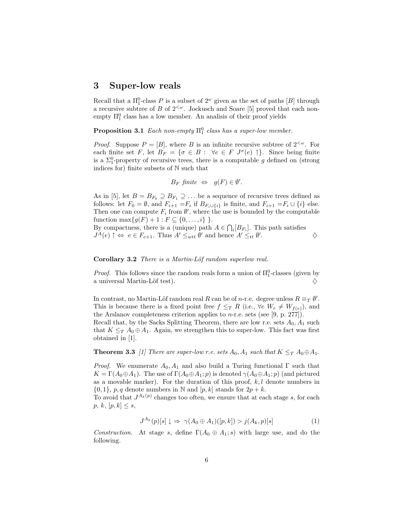## **3 Super-low reals**

Recall that a  $\Pi_1^0$ -class *P* is a subset of  $2^{\omega}$  given as the set of paths [*B*] through a recursive subtree of *B* of  $2^{<\omega}$  Jockusch and Soare [5] proved that each nona recursive subtree of *B* of  $2^{\lt \omega}$ . Jockusch and Soare [5] proved that each nonempty  $\Pi_1^0$  class has a low member. An analisis of their proof yields

**Proposition 3.1** *Each non-empty*  $\Pi_1^0$  *class has a super-low member.* 

*Proof.* Suppose  $P = [B]$ , where *B* is an infinite recursive subtree of  $2^{<\omega}$ . For each finite set *F*, let  $B_F = \{ \sigma \in B : \forall e \in F \; J^{\sigma}(e) \uparrow \}.$  Since being finite is a  $\Sigma_1^0$ -property of recursive trees, there is a computable *g* defined on (strong indices for) finite subsets of N such that indices for) finite subsets of N such that

$$
B_F \text{ finite } \Leftrightarrow \text{ } g(F) \in \emptyset'.
$$

As in [5], let  $B = B_{F_0} \supseteq B_{F_1} \supseteq \ldots$  be a sequence of recursive trees defined as follows: let  $F_0 = \emptyset$ , and  $F_{i+1} = F_i$  if  $B_{F_i \cup \{i\}}$  is finite, and  $F_{i+1} = F_i \cup \{i\}$  else. Then one can compute  $F_i$  from  $\emptyset'$ , where the use is bounded by the computable function  $\max_{a \in F} f_a(F) + 1 \cdot F \subset f_0$  it l function max ${g(F) + 1 : F \subseteq {0, ..., i} }$ .

By compactness, there is a (unique) path  $A \in \bigcap_i [B_{F_i}]$ . This path satisfies  $I^A(e) \uparrow \rightarrow e \in F$ ,  $\Box$  Thus  $A' \leq \Box \emptyset'$  and hence  $A' \leq \Box \emptyset'$  $J^A(e) \uparrow \Leftrightarrow e \in F_{e+1}$ . Thus  $A' \leq_{w} \emptyset'$  and hence  $A' \leq_{tt} \emptyset'$ . .  $\Diamond$ 

**Corollary 3.2** *There is a Martin-L¨of random superlow real.*

*Proof.* This follows since the random reals form a union of  $\Pi_1^0$ -classes (given by a universal Martin-Löf test).  $\Diamond$ 

In contrast, no Martin-Löf random real *R* can be of *n*-r.e. degree unless  $R \equiv_T \emptyset'$ .<br>This is because there is a fixed point free  $f \leq_R R$  (i.e.  $\forall e \ W \neq W_{\infty}$ ) and This is because there is a fixed point free  $f \leq_T R$  (i.e.,  $\forall e \, W_e \neq W_{f(e)}$ ), and the Arslanov completeness criterion applies to *n*-r.e. sets (see [9, p. 277]).

Recall that, by the Sacks Splitting Theorem, there are low r.e. sets *<sup>A</sup>*<sup>0</sup>*, A*<sup>1</sup> such that  $K \leq_T A_0 \oplus A_1$ . Again, we strengthen this to super-low. This fact was first obtained in [1].

**Theorem 3.3** *[1] There are super-low r.e. sets*  $A_0$ ,  $A_1$  *such that*  $K \leq T A_0 \oplus A_1$ .

*Proof.* We enumerate  $A_0$ ,  $A_1$  and also build a Turing functional  $\Gamma$  such that  $K = \Gamma(A_0 \oplus A_1)$ . The use of  $\Gamma(A_0 \oplus A_1; p)$  is denoted  $\gamma(A_0 \oplus A_1; p)$  (and pictured as a movable marker). For the duration of this proof, *k,l* denote numbers in  $\{0, 1\}, p, q$  denote numbers in N and  $[p, k]$  stands for  $2p + k$ .

To avoid that  $J^{A_k}(p)$  changes too often, we ensure that at each stage *s*, for each *p*,  $k$ ,  $[p, k] \leq s$ ,

$$
J^{A_k}(p)[s] \downarrow \Rightarrow \gamma(A_0 \oplus A_1)([p,k]) > j(A_k, p)[s]
$$
 (1)

*Construction.* At stage *s*, define  $\Gamma(A_0 \oplus A_1; s)$  with large use, and do the following.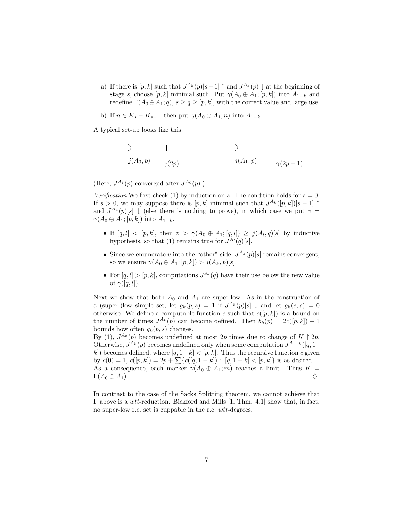- a) If there is  $[p, k]$  such that  $J^{A_k}(p)[s-1] \uparrow$  and  $J^{A_k}(p) \downarrow$  at the beginning of stage *s*, choose [*p*, *k*] minimal such. Put  $\gamma(A_0 \oplus A_1; [p, k])$  into  $A_{1-k}$  and redefine  $\Gamma(A_0 \oplus A_1; q)$ ,  $s \geq q \geq [p, k]$ , with the correct value and large use.
- b) If  $n \in K_s K_{s-1}$ , then put  $\gamma(A_0 \oplus A_1; n)$  into  $A_{1-k}$ .

A typical set-up looks like this:

$$
\begin{array}{c}\n \stackrel{\frown}{\longrightarrow} \\
j(A_0, p) \quad \gamma(2p) \quad j(A_1, p) \quad \gamma(2p+1)\n \end{array}
$$

(Here,  $J^{A_1}(p)$  converged after  $J^{A_0}(p)$ .)

*Verification* We first check (1) by induction on *s*. The condition holds for  $s = 0$ . If  $s > 0$ , we may suppose there is  $[p, k]$  minimal such that  $J^{A_k}([p, k])[s-1]$ and  $J^{A_k}(p)[s] \downarrow$  (else there is nothing to prove), in which case we put  $v =$  $\gamma(A_0 \oplus A_1; [p, k])$  into  $A_{1-k}$ .

- If  $[q, l] < [p, k]$ , then  $v > \gamma(A_0 \oplus A_1; [q, l]) \geq j(A_l, q)[s]$  by inductive hypothesis, so that (1) remains true for  $J^{A_l}(q)[s]$ .
- Since we enumerate *v* into the "other" side,  $J^{A_k}(p)[s]$  remains convergent, so we ensure  $\gamma(A_0 \oplus A_1; [p, k]) > j(A_k, p)[s].$
- For  $[q, l] > [p, k]$ , computations  $J^{A_l}(q)$  have their use below the new value of  $\gamma([q,l]).$

Next we show that both  $A_0$  and  $A_1$  are super-low. As in the construction of a (super-)low simple set, let  $g_k(p,s) = 1$  if  $J^{A_k}(p)[s] \downarrow$  and let  $g_k(e,s) = 0$ otherwise. We define a computable function *c* such that  $c([p, k])$  is a bound on the number of times  $J^{A_k}(p)$  can become defined. Then  $b_k(p) = 2c([p, k]) + 1$ bounds how often  $g_k(p, s)$  changes.

By (1),  $J^{A_0}(p)$  becomes undefined at most 2p times due to change of  $K \upharpoonright 2p$ . Otherwise,  $J^{A_k}(p)$  becomes undefined only when some computation  $J^{A_{1-k}}([q,1-\epsilon])$ *k*]) becomes defined, where  $[q, 1-k] < [p, k]$ . Thus the recursive function *c* given by  $c(0) = 1$ ,  $c([p, k]) = 2p + \sum \{c([q, 1 - k]) : [q, 1 - k] < [p, k]\}$  is as desired. As a consequence, each marker  $\gamma(A_0 \oplus A_1; m)$  reaches a limit. Thus  $K = \Gamma(A_0 \oplus A_1)$ .  $\Gamma(A_0 \oplus A_1).$   $\diamondsuit$ 

In contrast to the case of the Sacks Splitting theorem, we cannot achieve that Γ above is a *wtt*-reduction. Bickford and Mills [1, Thm. 4.1] show that, in fact, no super-low r.e. set is cuppable in the r.e. *wtt*-degrees.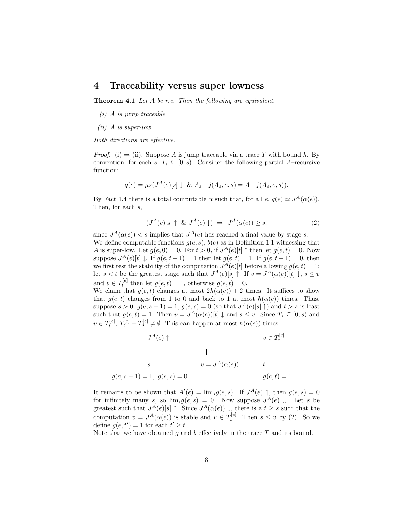### **4 Traceability versus super lowness**

**Theorem 4.1** *Let A be r.e. Then the following are equivalent.*

- *(i) A is jump traceable*
- *(ii) A is super-low.*

*Both directions are effective.*

*Proof.* (i)  $\Rightarrow$  (ii). Suppose *A* is jump traceable via a trace *T* with bound *h*. By convention, for each *s*,  $T_s \subseteq [0, s)$ . Consider the following partial *A*–recursive function:

$$
q(e) = \mu s(J^A(e)[s] \downarrow \& A_s \upharpoonright j(A_s, e, s) = A \upharpoonright j(A_s, e, s)).
$$

By Fact 1.4 there is a total computable  $\alpha$  such that, for all  $e, q(e) \simeq J^A(\alpha(e))$ . Then, for each *s*,

$$
(J^{A}(e)[s] \uparrow \& J^{A}(e) \downarrow) \Rightarrow J^{A}(\alpha(e)) \geq s,
$$
 (2)

since  $J^A(\alpha(e)) < s$  implies that  $J^A(e)$  has reached a final value by stage *s*. We define computable functions  $g(e, s)$ ,  $b(e)$  as in Definition 1.1 witnessing that *A* is super-low. Let  $g(e, 0) = 0$ . For  $t > 0$ , if  $J<sup>A</sup>(e)[t] \uparrow$  then let  $g(e, t) = 0$ . Now suppose  $J^{A}(e)[t] \downarrow$ . If  $g(e, t-1) = 1$  then let  $g(e, t) = 1$ . If  $g(e, t-1) = 0$ , then we first test the stability of the computation  $J^A(e)[t]$  before allowing  $g(e,t) = 1$ : let *s* < *t* be the greatest stage such that  $J^A(e)[s] \uparrow$ . If  $v = J^A(\alpha(e))[t] \downarrow, s \leq v$ and  $v \in T_t^{[e]}$  then let  $g(e,t) = 1$ , otherwise  $g(e,t) = 0$ .<br>We claim that  $g(e, t)$  changes at most  $2h(g(e)) + 2$ 

We claim that  $g(e, t)$  changes at most  $2h(\alpha(e)) + 2$  times. It suffices to show that  $g(e, t)$  changes from 1 to 0 and back to 1 at most  $h(\alpha(e))$  times. Thus, suppose  $s > 0$ ,  $g(e, s - 1) = 1$ ,  $g(e, s) = 0$  (so that  $J^{A}(e)[s] \uparrow$ ) and  $t > s$  is least such that  $g(e, t) = 1$ . Then  $v = J^A(\alpha(e))[t] \downarrow$  and  $s \le v$ . Since  $T_s \subseteq [0, s)$  and  $v \in T_t^{[e]}, T_t^{[e]} - T_s^{[e]} \neq \emptyset$ . This can happen at most  $h(\alpha(e))$  times.



It remains to be shown that  $A'(e) = \lim_{s \to 0} g(e, s)$ . If  $J^A(e) \uparrow$ , then  $g(e, s) = 0$ <br>for infinitely many  $\varepsilon$  so  $\lim_{s \to \infty} g(e, s) = 0$ . Now suppose  $I^A(e) \downarrow$  Let  $\varepsilon$  be for infinitely many *s*, so  $\lim_{s} g(e, s) = 0$ . Now suppose  $J^{A}(e) \downarrow$ . Let *s* be greatest such that  $I^{A}(e)[s] \uparrow$  Since  $I^{A}(o(e)) \downarrow$  there is a *t* > *s* such that the greatest such that  $J^A(e)[s] \uparrow$ . Since  $J^A(\alpha(e)) \downarrow$ , there is a  $t \geq s$  such that the computation  $v = J^A(\alpha(e))$  is stable and  $v \in T_t^{[e]}$ . Then  $s \le v$  by (2). So we define  $g(e, t') = 1$  for each  $t' \geq t$ .<br>Note that we have obtained a an

Note that we have obtained *g* and *b* effectively in the trace *T* and its bound.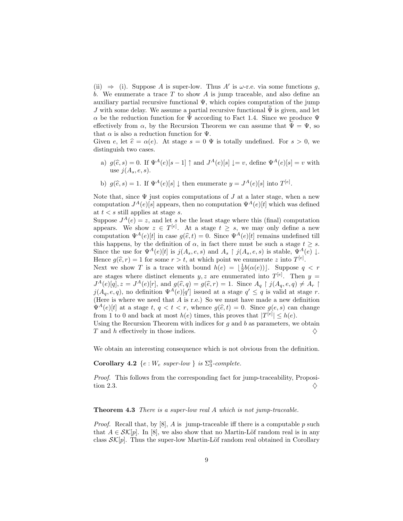(ii)  $\Rightarrow$  (i). Suppose *A* is super-low. Thus *A'* is  $\omega$ -r.e. via some functions *g*, *b*. We enumerate a trace *T* to show *A* is jump traceable, and also define an auxiliary partial recursive functional  $\Psi$ , which copies computation of the jump *J* with some delay. We assume a partial recursive functional  $\Psi$  is given, and let *α* be the reduction function for  $\Psi$  according to Fact 1.4. Since we produce  $\Psi$ effectively from  $\alpha$ , by the Recursion Theorem we can assume that  $\Psi = \Psi$ , so that  $\alpha$  is also a reduction function for  $\Psi$ .

Given *e*, let  $\hat{e} = \alpha(e)$ . At stage  $s = 0 \Psi$  is totally undefined. For  $s > 0$ , we distinguish two cases distinguish two cases.

- a)  $g(\hat{e}, s) = 0$ . If  $\Psi^A(e)[s-1] \uparrow$  and  $J^A(e)[s] \downarrow = v$ , define  $\Psi^A(e)[s] = v$  with use  $j(A_s, e, s)$ .
- b)  $g(\hat{e}, s) = 1$ . If  $\Psi^A(e)[s] \downarrow$  then enumerate  $y = J^A(e)[s]$  into  $T^{[e]}$ .

Note that, since  $\Psi$  just copies computations of  $J$  at a later stage, when a new computation  $J^A(e)[s]$  appears, then no computation  $\Psi^A(e)[t]$  which was defined at  $t < s$  still applies at stage *s*.

Suppose  $J^A(e) = z$ , and let *s* be the least stage where this (final) computation appears. We show  $z \in T^{[e]}$ . At a stage  $t \geq s$ , we may only define a new<br>computation  $\Psi^A(e)[t]$  in case  $g(\hat{\epsilon} t) = 0$ . Since  $\Psi^A(e)[t]$  remains undefined till computation  $\Psi^{A}(e)[t]$  in case  $g(\hat{e}, t) = 0$ . Since  $\Psi^{A}(e)[t]$  remains undefined till<br>this happens, by the definition of  $\alpha$  in fact there must be such a stage  $t > \varepsilon$ this happens, by the definition of  $\alpha$ , in fact there must be such a stage  $t \geq s$ . Since the use for  $\Psi^A(e)[t]$  is  $j(A_s, e, s)$  and  $A_s \restriction j(A_s, e, s)$  is stable,  $\Psi^A(e) \downarrow$ . Hence  $g(\hat{e}, r) = 1$  for some  $r > t$ , at which point we enumerate *z* into  $T^{[e]}$ .<br>Next we show *T* is a trace with bound  $h(e) = \frac{1}{\epsilon}h(e(e))$ . Suppose *g* 

Next we show *T* is a trace with bound  $h(e) = \lfloor \frac{1}{2}b(\alpha(e)) \rfloor$ . Suppose  $q < r$ are stages where distinct elements *y, z* are enumerated into  $T^{[e]}$ . Then  $y = I^A(e)[q] \times I^A(e)[r]$  and  $q(\hat{\epsilon} q) = q(\hat{\epsilon} r) = 1$ . Since  $A \upharpoonright i(A \mid \epsilon q) \neq A \upharpoonright t$  $J^{A}(e)[q], z = J^{A}(e)[r]$ , and  $g(\hat{e}, q) = g(\hat{e}, r) = 1$ . Since  $A_{q} \restriction j(A_{q}, e, q) \neq A_{r} \restriction j(A_{r} | r)$  $\hat{e}(q) = g(\hat{e}, r) = 1$ . Since  $A_q \restriction j(A_q, e, q) \neq A_r \restriction j(a')$  issued at a stage  $q' \leq q$  is valid at stage r.  $j(A_q, e, q)$ , no definition  $\Psi^A(e)[q']$  issued at a stage  $q' \leq q$  is valid at stage *r*.<br>(Here is where we need that *A* is r e). So we must have made a new definition (Here is where we need that *A* is r.e.) So we must have made a new definition  $\Psi^A(e)[t]$  at a stage  $t, q < t < r$ , whence  $g(\hat{e}, t) = 0$ . Since  $g(e, s)$  can change from 1 to 0 and back at most  $h(e)$  times this proves that  $|\mathcal{T}^{[e]}| < h(e)$ from 1 to 0 and back at most  $h(e)$  times, this proves that  $|T^{[e]}| \leq h(e)$ .<br>Heing the Becursion Theorem with indices for a and h as parameters we

Using the Recursion Theorem with indices for *g* and *b* as parameters, we obtain *T* and *h* effectively in those indices. *T* and *h* effectively in those indices.

We obtain an interesting consequence which is not obvious from the definition.

**Corollary 4.2**  $\{e : W_e \text{ super-low }\} \text{ is } \Sigma_3^0\text{-complete.}$ 

*Proof.* This follows from the corresponding fact for jump-traceability, Proposition 2.3.  $\Diamond$ 

#### **Theorem 4.3** *There is a super-low real A which is not jump-traceable.*

*Proof.* Recall that, by [8], *A* is jump-traceable iff there is a computable *p* such that  $A \in \mathcal{SK}[p]$ . In [8], we also show that no Martin-Löf random real is in any class  $\mathcal{SK}[p]$ . Thus the super-low Martin-Löf random real obtained in Corollary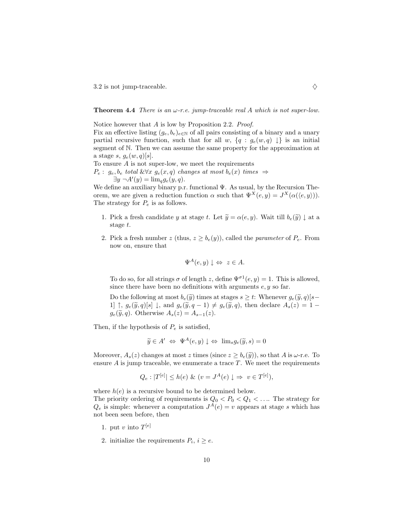3.2 is not jump-traceable.  $\diamondsuit$ 

**Theorem 4.4** *There is an ω-r.e. jump-traceable real A which is not super-low.*

Notice however that *A* is low by Proposition 2.2. *Proof.*

Fix an effective listing  $(g_e, b_e)_{e \in \mathbb{N}}$  of all pairs consisting of a binary and a unary partial recursive function, such that for all *w*,  $\{q : g_e(w, q) \downarrow\}$  is an initial segment of N. Then we can assume the same property for the approximation at a stage *s*,  $g_e(w, q)[s]$ .

To ensure *A* is not super-low, we meet the requirements

*P*<sup>*e*</sup> : *g*<sup>*e*</sup>, *b*<sup>*e*</sup> *total* &∀*x g*<sup>*e*</sup>(*x, q*) *changes at most b*<sup>*e*</sup>(*x*) *times*  $\Rightarrow$  $\exists y \ \neg A'(y) = \lim_{q} g_e(y, q)$ .<br>ine an auxiliary binary p.y.

We define an auxiliary binary p.r. functional Ψ. As usual, by the Recursion Theorem, we are given a reduction function *α* such that  $Ψ<sup>X</sup>(e, y) = J<sup>X</sup>(α(⟨e, y⟩)).$ The strategy for *<sup>P</sup><sup>e</sup>* is as follows.

- 1. Pick a fresh candidate *y* at stage *t*. Let  $\tilde{y} = \alpha(e, y)$ . Wait till  $b_e(\tilde{y}) \downarrow$  at a stage *t*.
- 2. Pick a fresh number *z* (thus,  $z \geq b_e(y)$ ), called the *parameter* of  $P_e$ . From now on, ensure that

$$
\Psi^A(e, y) \downarrow \Leftrightarrow z \in A.
$$

To do so, for all strings  $\sigma$  of length *z*, define  $\Psi^{\sigma1}(e, y) = 1$ . This is allowed, since there have been no definitions with arguments *e, y* so far.

Do the following at most  $b_e(\tilde{y})$  times at stages  $s \geq t$ : Whenever  $g_e(\tilde{y}, q)[s-$ 1]  $\uparrow$ ,  $g_e(\tilde{y}, q)[s] \downarrow$ , and  $g_e(\tilde{y}, q - 1) \neq g_e(\tilde{y}, q)$ , then declare  $A_s(z) = 1$  $g_e(\widetilde{y}, q)$ . Otherwise  $A_s(z) = A_{s-1}(z)$ .

Then, if the hypothesis of *<sup>P</sup><sup>e</sup>* is satisfied,

$$
\widetilde{y} \in A' \Leftrightarrow \Psi^A(e, y) \downarrow \Leftrightarrow \lim_{s} g_e(\widetilde{y}, s) = 0
$$

Moreover,  $A_s(z)$  changes at most *z* times (since  $z \geq b_e(\tilde{y})$ ), so that *A* is  $\omega$ -r.e. To ensure  $\vec{A}$  is jump traceable, we enumerate a trace  $\vec{T}$ . We meet the requirements

$$
Q_e: |T^{[e]}| \le h(e) \& (v = J^A(e) \downarrow \Rightarrow v \in T^{[e]}),
$$

where  $h(e)$  is a recursive bound to be determined below. The priority ordering of requirements is  $Q_0 < P_0 < Q_1 < ...$  The strategy for  $Q_0$  is simple; whenever a computation  $I^A(e) = v$  appears at stage s which has  $Q_e$  is simple: whenever a computation  $J^A(e) = v$  appears at stage *s* which has not been seen before, then

- 1. put *v* into  $T^{[e]}$
- 2. initialize the requirements  $P_i$ ,  $i \geq e$ .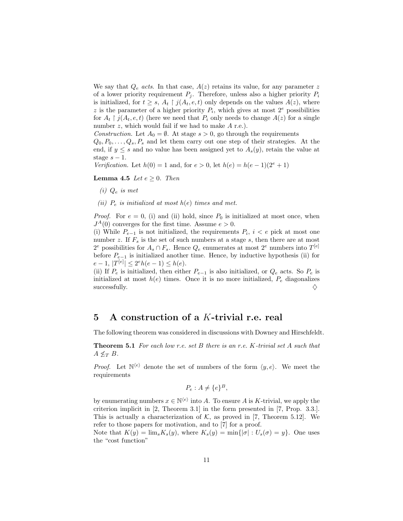We say that  $Q_e$  *acts*. In that case,  $A(z)$  retains its value, for any parameter z of a lower priority requirement  $P_i$ . Therefore, unless also a higher priority  $P_i$ is initialized, for  $t \geq s$ ,  $A_t \restriction j(A_t, e, t)$  only depends on the values  $A(z)$ , where *z* is the parameter of a higher priority  $P_i$ , which gives at most  $2^e$  possibilities for  $A_t \restriction j(A_t, e, t)$  (here we need that  $P_i$  only needs to change  $A(z)$  for a single number *z*, which would fail if we had to make *A* r.e.).

*Construction.* Let  $A_0 = \emptyset$ . At stage  $s > 0$ , go through the requirements

 $Q_0, P_0, \ldots, Q_s, P_s$  and let them carry out one step of their strategies. At the end, if  $y \leq s$  and no value has been assigned yet to  $A_s(y)$ , retain the value at stage  $s - 1$ .

*Verification.* Let  $h(0) = 1$  and, for  $e > 0$ , let  $h(e) = h(e-1)(2^e + 1)$ 

**Lemma 4.5** *Let*  $e > 0$ *. Then* 

- *(i) <sup>Q</sup><sup>e</sup> is met*
- *(ii)*  $P_e$  *is initialized at most*  $h(e)$  *times and met.*

*Proof.* For  $e = 0$ , (i) and (ii) hold, since  $P_0$  is initialized at most once, when  $J<sup>A</sup>(0)$  converges for the first time. Assume  $e > 0$ .

(i) While  $P_{e-1}$  is not initialized, the requirements  $P_i$ ,  $i < e$  pick at most one number *z*. If  $F_s$  is the set of such numbers at a stage *s*, then there are at most  $2^e$  possibilities for  $A_s \cap F_s$ . Hence  $Q_e$  enumerates at most  $2^e$  numbers into  $T^{[e]}$ before  $P_{e-1}$  is initialized another time. Hence, by inductive hypothesis (ii) for  $e-1$ ,  $|T^{[e]}| \leq 2^e h(e-1) \leq h(e)$ .<br>(ii) If *P* is initialized then either

(ii) If  $P_e$  is initialized, then either  $P_{e-1}$  is also initialized, or  $Q_e$  acts. So  $P_e$  is initialized at most  $h(e)$  times. Once it is no more initialized,  $P_e$  diagonalizes successfully. successfully.

## **5 A construction of a** *K***-trivial r.e. real**

The following theorem was considered in discussions with Downey and Hirschfeldt.

**Theorem 5.1** *For each low r.e. set B there is an r.e. K-trivial set A such that*  $A \nleq_T B$ *.* 

*Proof.* Let  $\mathbb{N}^{(e)}$  denote the set of numbers of the form  $\langle y, e \rangle$ . We meet the requirements

$$
P_e: A \neq \{e\}^B,
$$

by enumerating numbers  $x \in \mathbb{N}^{(e)}$  into A. To ensure A is K-trivial, we apply the criterion implicit in [2, Theorem 3.1] in the form presented in [7, Prop. 3.3.]. This is actually a characterization of  $K$ , as proved in [7, Theorem 5.12]. We refer to those papers for motivation, and to [7] for a proof.

Note that  $K(y) = \lim_{s} K_s(y)$ , where  $K_s(y) = \min\{|\sigma| : U_s(\sigma) = y\}$ . One uses the "cost function"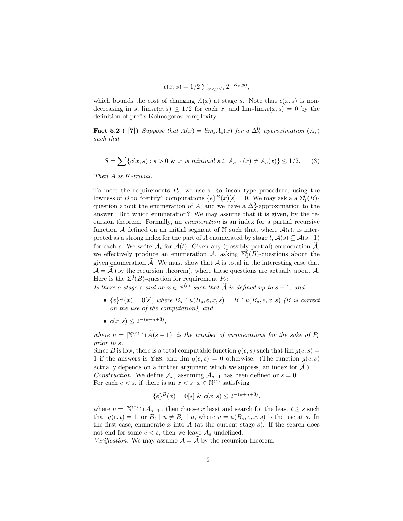$$
c(x,s) = 1/2 \sum_{x < y \le s} 2^{-K_s(y)},
$$

which bounds the cost of changing  $A(x)$  at stage *s*. Note that  $c(x, s)$  is nondecreasing in *s*,  $\lim_{s \to s} c(x, s) \leq 1/2$  for each *x*, and  $\lim_{x \to s} \lim_{s \to s} c(x, s) = 0$  by the definition of prefix Kolmogorov complexity.

**Fact 5.2 (** [7]) *Suppose that*  $A(x) = \lim_{s} A_s(x)$  *for a*  $\Delta_2^0$ *-approximation*  $(A_s)$  *such that such that*

$$
S = \sum \{c(x, s) : s > 0 \& x \text{ is minimal s.t. } A_{s-1}(x) \neq A_s(x) \} \leq 1/2. \tag{3}
$$

*Then A is K-trivial.*

To meet the requirements  $P_e$ , we use a Robinson type procedure, using the lowness of  $B$  to "certify" computations  $I_e(B(x)[e] = 0$ . We may ask a a  $\Sigma^0(B)$ . lowness of *B* to "certify" computations  $\{e\}^B(x)[s] = 0$ . We may ask a a  $\Sigma_1^0(B)$ -<br>question about the enumeration of *A* and we have a  $\Lambda^0$ -approximation to the question about the enumeration of *A*, and we have a  $\Delta_2^0$ -approximation to the parameter. But which enumeration? We may assume that it is given by the reanswer. But which enumeration? We may assume that it is given, by the recursion theorem. Formally, an *enumeration* is an index for a partial recursive function A defined on an initial segment of N such that, where  $A(t)$ , is interpreted as a strong index for the part of *A* enumerated by stage  $t, \mathcal{A}(s) \subseteq \mathcal{A}(s+1)$ for each *s*. We write  $\mathcal{A}_t$  for  $\mathcal{A}(t)$ . Given any (possibly partial) enumeration  $\widetilde{\mathcal{A}}$ , we effectively produce an enumeration  $\mathcal{A}$ , asking  $\Sigma_1^0(B)$ -questions about the site operation of  $\widetilde{A}$ . We must show that A is total in the interesting sees that given enumeration  $\widetilde{\mathcal{A}}$ . We must show that  $\mathcal A$  is total in the interesting case that  $\mathcal{A} = \mathcal{A}$  (by the recursion theorem), where these questions are actually about  $\mathcal{A}$ . Here is the  $\Sigma_1^0(B)$ -question for requirement  $P_e$ :<br>*Le there a stage a and an*  $\pi \in \mathbb{N}^{(e)}$  *angle that*  $\widetilde{A}$ 

*Is there a stage s* and an  $x \in \mathbb{N}^{(e)}$  *such that*  $\tilde{A}$  *is defined up to*  $s - 1$ *, and* 

- ${e}^{B}(x) = 0[s]$ *, where*  $B_s \restriction u(B_s, e, x, s) = B \restriction u(B_s, e, x, s)$  *(B is correct on the use of the computation), and*
- $\bullet$  *c*(*x*, *s*) < 2<sup>−(*e*+*n*+3)<sub></sub>,</sup>

*where*  $n = |\mathbb{N}^{\langle e \rangle} \cap \widetilde{A}(s-1)|$  *is the number of enumerations for the sake of*  $P_e$ *prior to s.*

Since *B* is low, there is a total computable function  $g(e, s)$  such that  $\lim g(e, s)$ 1 if the answers is YES, and  $\lim g(e, s) = 0$  otherwise. (The function  $g(e, s)$ ) actually depends on a further argument which we supress, an index for  $\mathcal{A}$ .) *Construction.* We define  $A_s$ , assuming  $A_{s-1}$  has been defined or  $s = 0$ . For each  $e < s$ , if there is an  $x < s$ ,  $x \in \mathbb{N}^{\langle e \rangle}$  satisfying

$$
\{e\}^B(x) = 0[s] \& c(x,s) \le 2^{-(e+n+3)},
$$

where  $n = \mathbb{N}^{(e)} \cap A_{s-1}$ , then choose *x* least and search for the least  $t \geq s$  such that  $g(e, t) = 1$ , or  $B_t \restriction u \neq B_s \restriction u$ , where  $u = u(B_s, e, x, s)$  is the use at *s*. In the first case, enumerate  $x$  into  $A$  (at the current stage  $s$ ). If the search does not end for some  $e < s$ , then we leave  $\mathcal{A}_s$  undefined.

*Verification.* We may assume  $A = \overline{A}$  by the recursion theorem.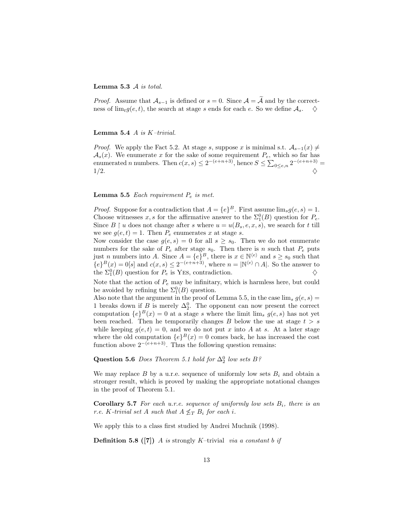#### **Lemma 5.3** A *is total.*

*Proof.* Assume that  $\mathcal{A}_{s-1}$  is defined or  $s = 0$ . Since  $\mathcal{A} = \mathcal{A}$  and by the correctness of  $\lim_{t} g(e, t)$ , the search at stage *s* ends for each *e*. So we define  $A_s$ .  $\diamondsuit$ 

#### **Lemma 5.4** *A is K–trivial.*

*Proof.* We apply the Fact 5.2. At stage *s*, suppose *x* is minimal s.t.  $A_{s-1}(x) \neq$  $\mathcal{A}_s(x)$ . We enumerate *x* for the sake of some requirement  $P_e$ , which so far has enumerated *n* numbers. Then  $c(x, s) \leq 2^{-(e+n+3)}$ , hence  $S \leq \sum_{0 \leq e,n} 2^{-(e+n+3)} =$  $1/2.$ 

#### **Lemma 5.5** *Each requirement <sup>P</sup><sup>e</sup> is met.*

*Proof.* Suppose for a contradiction that  $A = \{e\}^B$ . First assume  $\lim_{s} g(e, s) = 1$ . Choose witnesses *x*, *s* for the affirmative answer to the  $\Sigma_1^0(B)$  question for  $P_e$ .<br>Since  $B \upharpoonright u$  does not change after *s* where  $u = u(B - e x, e)$  we search for *t* till Since  $B \restriction u$  does not change after *s* where  $u = u(B_s, e, x, s)$ , we search for *t* till we see  $g(e, t) = 1$ . Then  $P_e$  enumerates x at stage s.

Now consider the case  $g(e, s) = 0$  for all  $s \geq s_0$ . Then we do not enumerate numbers for the sake of  $P_e$  after stage  $s_0$ . Then there is *n* such that  $P_e$  puts just *n* numbers into *A*. Since  $A = \{e\}^B$ , there is  $x \in \mathbb{N}^{\langle e \rangle}$  and  $s \ge s_0$  such that  $f_e \in \mathbb{R}^B$  (*x*) – 0 let and  $g(x, s) \le 2^{-(e+n+3)}$  where  $n = \mathbb{N}^{\langle e \rangle} \cap A$ . So the answer to  ${^{\gamma}}(e)^{B}(x) = 0$ [*s*] and  $c(x, s) \leq 2^{-(e+n+3)}$ , where  $n = |N^{(e)} \cap A|$ . So the answer to the  $\sum_{k=0}^{n}$  (*R*) question for *P* is VES contradiction the  $\Sigma_1^0(B)$  question for  $P_e$  is Yes, contradiction.  $\diamondsuit$ 

Note that the action of *<sup>P</sup><sup>e</sup>* may be infinitary, which is harmless here, but could be avoided by refining the  $\Sigma_1^0(B)$  question.<br>Also note that the argument in the proof of

Also note that the argument in the proof of Lemma 5.5, in the case  $\lim_{s} g(e, s) =$ 1 breaks down if *B* is merely  $\Delta_2^0$ . The opponent can now present the correct computation  $f_e(B(x)) = 0$  at a stage s where the limit limited  $g(e, s)$  has not vert computation  ${e}^B(x) = 0$  at a stage *s* where the limit lim<sub>*s*</sub>  $g(e, s)$  has not yet been reached. Then he temporarily changes  $B$  below the use at stage  $t > s$ while keeping  $g(e, t) = 0$ , and we do not put *x* into *A* at *s*. At a later stage where the old computation  ${e}^B(x) = 0$  comes back, he has increased the cost function above  $2^{-(e+n+3)}$ . Thus the following question remains:

**Question 5.6** *Does Theorem 5.1 hold for*  $\Delta_2^0$  *low sets*  $B$ ?

We may replace  $B$  by a u.r.e. sequence of uniformly low sets  $B_i$  and obtain a stronger result, which is proved by making the appropriate notational changes in the proof of Theorem 5.1.

**Corollary 5.7** *For each u.r.e. sequence of uniformly low sets B<sup>i</sup>, there is an r.e. K-trivial set A such that*  $A \nleq_T B_i$  *for each i.* 

We apply this to a class first studied by Andrei Muchnik (1998).

**Definition 5.8 ([7])** *A is* strongly *K*–trivial *via a constant b if*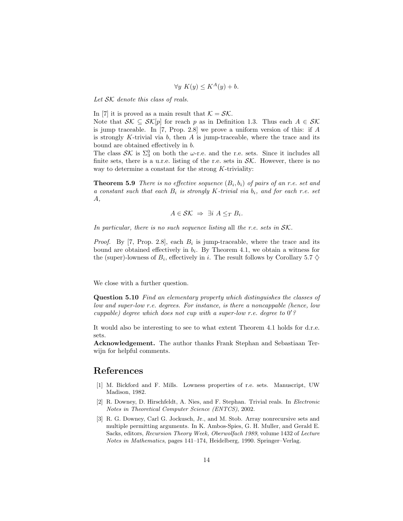$$
\forall y \ K(y) \le K^A(y) + b.
$$

*Let* SK *denote this class of reals.*

In [7] it is proved as a main result that  $K = S\mathcal{K}$ .

Note that  $S\mathcal{K} \subseteq S\mathcal{K}[p]$  for reach *p* as in Definition 1.3. Thus each  $A \in S\mathcal{K}$ is jump traceable. In [7, Prop. 2.8] we prove a uniform version of this: if *A* is strongly *K*-trivial via *b*, then *A* is jump-traceable, where the trace and its bound are obtained effectively in *b*.

The class  $\mathcal{SK}$  is  $\Sigma_3^0$  on both the *ω*-r.e. and the r.e. sets. Since it includes all finite sets there is a u.r.e. listing of the r.e. sets in  $\mathcal{SK}$ . However, there is no finite sets, there is a u.r.e. listing of the r.e. sets in  $\mathcal{SK}$ . However, there is no way to determine a constant for the strong *K*-triviality:

**Theorem 5.9** *There is no effective sequence*  $(B_i, b_i)$  *of pairs of an r.e. set and a constant such that each <sup>B</sup><sup>i</sup> is strongly <sup>K</sup>-trivial via <sup>b</sup><sup>i</sup>, and for each r.e. set A,*

$$
A \in \mathcal{SK} \ \Rightarrow \ \exists i \ A \leq_T B_i.
$$

*In particular, there is no such sequence listing* all *the r.e. sets in* SK*.*

*Proof.* By [7, Prop. 2.8], each  $B_i$  is jump-traceable, where the trace and its bound are obtained effectively in  $b_i$ . By Theorem 4.1, we obtain a witness for the (super)-lowness of  $B_i$ , effectively in *i*. The result follows by Corollary 5.7  $\diamond$ 

We close with a further question.

**Question 5.10** *Find an elementary property which distinguishes the classes of low and super-low r.e. degrees. For instance, is there a noncappable (hence, low cuppable) degree which does not cup with a super-low r.e. degree to* 0 *?*

It would also be interesting to see to what extent Theorem 4.1 holds for d.r.e. sets.

**Acknowledgement.** The author thanks Frank Stephan and Sebastiaan Terwijn for helpful comments.

## **References**

- [1] M. Bickford and F. Mills. Lowness properties of r.e. sets. Manuscript, UW Madison, 1982.
- [2] R. Downey, D. Hirschfeldt, A. Nies, and F. Stephan. Trivial reals. In *Electronic Notes in Theoretical Computer Science (ENTCS)*, 2002.
- [3] R. G. Downey, Carl G. Jockusch, Jr., and M. Stob. Array nonrecursive sets and multiple permitting arguments. In K. Ambos-Spies, G. H. Muller, and Gerald E. Sacks, editors, *Recursion Theory Week, Oberwolfach 1989*, volume 1432 of *Lecture Notes in Mathematics*, pages 141–174, Heidelberg, 1990. Springer–Verlag.